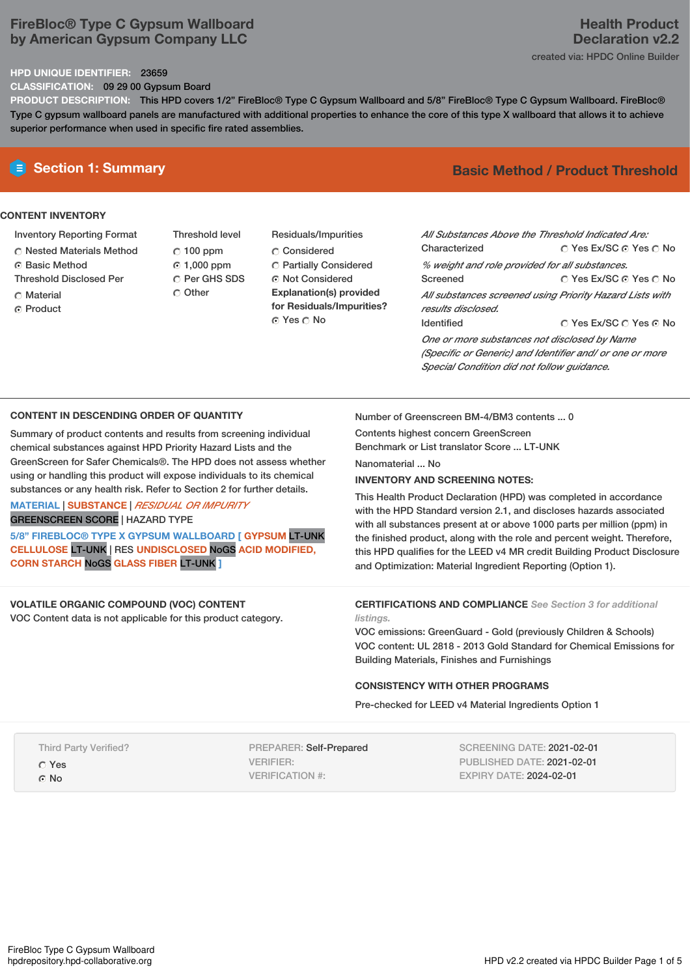## **FireBloc® Type C Gypsum Wallboard by American Gypsum Company LLC**

### **HPD UNIQUE IDENTIFIER:** 23659

**CLASSIFICATION:** 09 29 00 Gypsum Board

**PRODUCT DESCRIPTION:** This HPD covers 1/2" FireBloc® Type C Gypsum Wallboard and 5/8" FireBloc® Type C Gypsum Wallboard. FireBloc® Type C gypsum wallboard panels are manufactured with additional properties to enhance the core of this type X wallboard that allows it to achieve superior performance when used in specific fire rated assemblies.

#### **CONTENT INVENTORY**

- Inventory Reporting Format
- Nested Materials Method
- **G** Basic Method
- Threshold Disclosed Per
- Material
- ⊙ Product

Threshold level  $\degree$  100 ppm 1,000 ppm C Per GHS SDS O Other Residuals/Impurities C Considered Partially Considered Not Considered **Explanation(s) provided for Residuals/Impurities?**

© Yes ∩ No

# **Section 1: Summary Basic Method / Product Threshold**

| All Substances Above the Threshold Indicated Are:<br>Characterized                                                                                     | ∩ Yes Ex/SC ∩ Yes ∩ No |  |  |  |  |
|--------------------------------------------------------------------------------------------------------------------------------------------------------|------------------------|--|--|--|--|
| % weight and role provided for all substances.                                                                                                         |                        |  |  |  |  |
| Screened                                                                                                                                               | ○ Yes Ex/SC ⊙ Yes ○ No |  |  |  |  |
| All substances screened using Priority Hazard Lists with<br>results disclosed.                                                                         |                        |  |  |  |  |
| <b>Identified</b>                                                                                                                                      | ∩ Yes Ex/SC ∩ Yes ∩ No |  |  |  |  |
| One or more substances not disclosed by Name<br>(Specific or Generic) and Identifier and/ or one or more<br>Special Condition did not follow quidance. |                        |  |  |  |  |

#### **CONTENT IN DESCENDING ORDER OF QUANTITY**

Summary of product contents and results from screening individual chemical substances against HPD Priority Hazard Lists and the GreenScreen for Safer Chemicals®. The HPD does not assess whether using or handling this product will expose individuals to its chemical substances or any health risk. Refer to Section 2 for further details.

### **MATERIAL** | **SUBSTANCE** | *RESIDUAL OR IMPURITY* GREENSCREEN SCORE | HAZARD TYPE

**5/8" FIREBLOC® TYPE X GYPSUM WALLBOARD [ GYPSUM** LT-UNK **CELLULOSE** LT-UNK | RES **UNDISCLOSED** NoGS **ACID MODIFIED, CORN STARCH** NoGS **GLASS FIBER** LT-UNK **]**

#### **VOLATILE ORGANIC COMPOUND (VOC) CONTENT** VOC Content data is not applicable for this product category.

Number of Greenscreen BM-4/BM3 contents ... 0

Contents highest concern GreenScreen

Benchmark or List translator Score ... LT-UNK

Nanomaterial No.

### **INVENTORY AND SCREENING NOTES:**

This Health Product Declaration (HPD) was completed in accordance with the HPD Standard version 2.1, and discloses hazards associated with all substances present at or above 1000 parts per million (ppm) in the finished product, along with the role and percent weight. Therefore, this HPD qualifies for the LEED v4 MR credit Building Product Disclosure and Optimization: Material Ingredient Reporting (Option 1).

#### **CERTIFICATIONS AND COMPLIANCE** *See Section 3 for additional listings.*

VOC emissions: GreenGuard - Gold (previously Children & Schools) VOC content: UL 2818 - 2013 Gold Standard for Chemical Emissions for Building Materials, Finishes and Furnishings

#### **CONSISTENCY WITH OTHER PROGRAMS**

Pre-checked for LEED v4 Material Ingredients Option 1

| <b>Third Party Verified?</b> |  |
|------------------------------|--|
| C Yes                        |  |
| ⊙ No                         |  |

PREPARER: Self-Prepared VERIFIER: VERIFICATION #:

SCREENING DATE: 2021-02-01 PUBLISHED DATE: 2021-02-01 EXPIRY DATE: 2024-02-01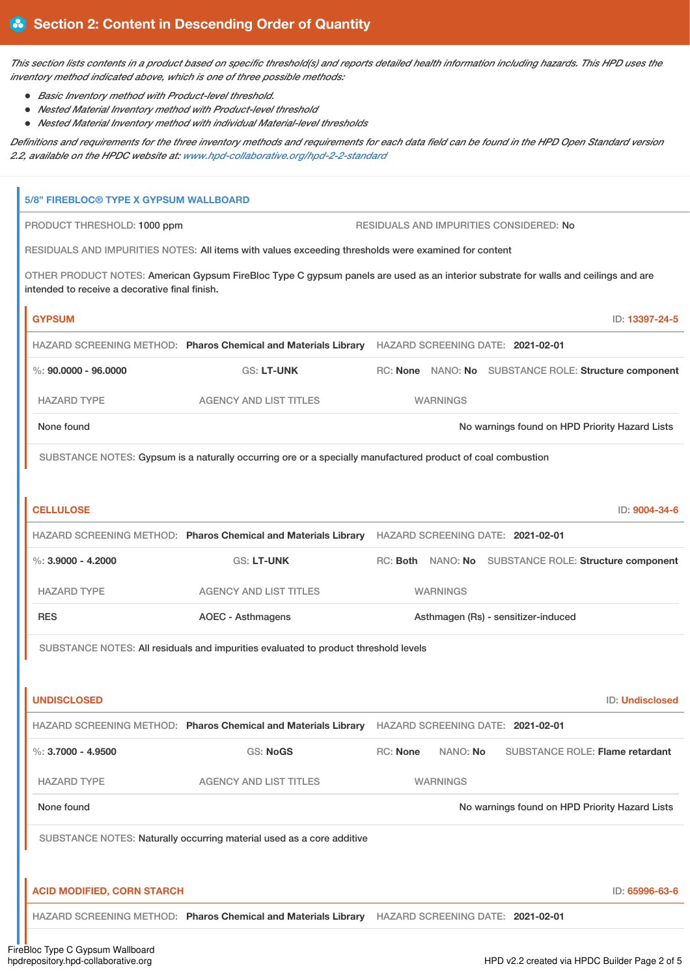This section lists contents in a product based on specific threshold(s) and reports detailed health information including hazards. This HPD uses the *inventory method indicated above, which is one of three possible methods:*

- *Basic Inventory method with Product-level threshold.*
- *Nested Material Inventory method with Product-level threshold*
- *Nested Material Inventory method with individual Material-level thresholds*

Definitions and requirements for the three inventory methods and requirements for each data field can be found in the HPD Open Standard version *2.2, available on the HPDC website at: [www.hpd-collaborative.org/hpd-2-2-standard](https://www.hpd-collaborative.org/hpd-2-2-standard)*

| <b>5/8" FIREBLOC® TYPE X GYPSUM WALLBOARD</b>                                                        |                                                                                                                                     |                                                       |  |                                                |
|------------------------------------------------------------------------------------------------------|-------------------------------------------------------------------------------------------------------------------------------------|-------------------------------------------------------|--|------------------------------------------------|
| PRODUCT THRESHOLD: 1000 ppm                                                                          | RESIDUALS AND IMPURITIES CONSIDERED: No                                                                                             |                                                       |  |                                                |
| RESIDUALS AND IMPURITIES NOTES: All items with values exceeding thresholds were examined for content |                                                                                                                                     |                                                       |  |                                                |
| intended to receive a decorative final finish.                                                       | OTHER PRODUCT NOTES: American Gypsum FireBloc Type C gypsum panels are used as an interior substrate for walls and ceilings and are |                                                       |  |                                                |
| <b>GYPSUM</b>                                                                                        |                                                                                                                                     |                                                       |  | ID: 13397-24-5                                 |
|                                                                                                      | HAZARD SCREENING METHOD: Pharos Chemical and Materials Library HAZARD SCREENING DATE: 2021-02-01                                    |                                                       |  |                                                |
| $\%$ : 90.0000 - 96.0000                                                                             | <b>GS: LT-UNK</b>                                                                                                                   | RC: None NANO: No SUBSTANCE ROLE: Structure component |  |                                                |
| <b>HAZARD TYPE</b>                                                                                   | <b>AGENCY AND LIST TITLES</b>                                                                                                       | <b>WARNINGS</b>                                       |  |                                                |
| None found                                                                                           |                                                                                                                                     |                                                       |  | No warnings found on HPD Priority Hazard Lists |
|                                                                                                      | SUBSTANCE NOTES: Gypsum is a naturally occurring ore or a specially manufactured product of coal combustion                         |                                                       |  |                                                |
|                                                                                                      |                                                                                                                                     |                                                       |  |                                                |
| <b>CELLULOSE</b>                                                                                     |                                                                                                                                     |                                                       |  | ID: 9004-34-6                                  |
|                                                                                                      | HAZARD SCREENING METHOD: Pharos Chemical and Materials Library HAZARD SCREENING DATE: 2021-02-01                                    |                                                       |  |                                                |
| %: $3,9000 - 4,2000$                                                                                 | <b>GS: LT-UNK</b>                                                                                                                   | RC: Both NANO: No SUBSTANCE ROLE: Structure component |  |                                                |
| <b>HAZARD TYPE</b>                                                                                   | <b>AGENCY AND LIST TITLES</b>                                                                                                       | <b>WARNINGS</b>                                       |  |                                                |
| <b>RES</b>                                                                                           | <b>AOEC - Asthmagens</b>                                                                                                            | Asthmagen (Rs) - sensitizer-induced                   |  |                                                |
| SUBSTANCE NOTES: All residuals and impurities evaluated to product threshold levels                  |                                                                                                                                     |                                                       |  |                                                |
|                                                                                                      |                                                                                                                                     |                                                       |  |                                                |
| <b>UNDISCLOSED</b>                                                                                   |                                                                                                                                     |                                                       |  | <b>ID: Undisclosed</b>                         |
|                                                                                                      | HAZARD SCREENING METHOD: Pharos Chemical and Materials Library                                                                      | HAZARD SCREENING DATE: 2021-02-01                     |  |                                                |
| $\%$ : 3.7000 - 4.9500                                                                               | <b>GS: NoGS</b>                                                                                                                     | RC: None<br>NANO: No                                  |  | SUBSTANCE ROLE: Flame retardant                |
| <b>HAZARD TYPE</b>                                                                                   | <b>AGENCY AND LIST TITLES</b>                                                                                                       | <b>WARNINGS</b>                                       |  |                                                |
| None found                                                                                           |                                                                                                                                     |                                                       |  | No warnings found on HPD Priority Hazard Lists |
|                                                                                                      | SUBSTANCE NOTES: Naturally occurring material used as a core additive                                                               |                                                       |  |                                                |
|                                                                                                      |                                                                                                                                     |                                                       |  |                                                |
| <b>ACID MODIFIED, CORN STARCH</b>                                                                    |                                                                                                                                     |                                                       |  | ID: 65996-63-6                                 |
|                                                                                                      | HAZARD SCREENING METHOD: Pharos Chemical and Materials Library HAZARD SCREENING DATE: 2021-02-01                                    |                                                       |  |                                                |
|                                                                                                      |                                                                                                                                     |                                                       |  |                                                |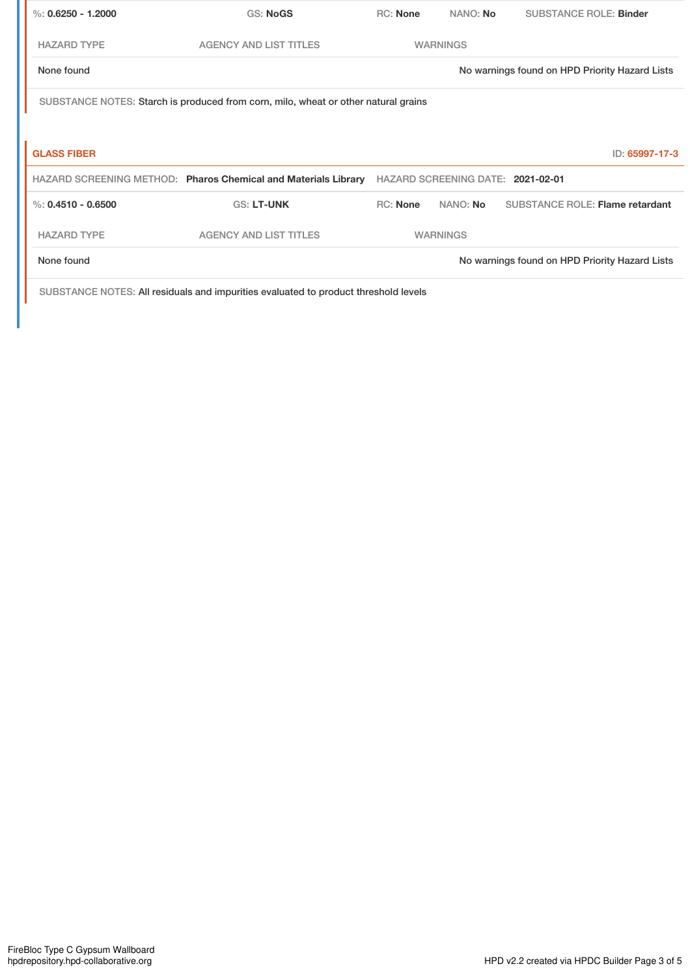| %: $0.6250 - 1.2000$                                                               | <b>GS: NoGS</b>                                                | <b>RC:</b> None | NANO: No        | <b>SUBSTANCE ROLE: Binder</b>                  |  |
|------------------------------------------------------------------------------------|----------------------------------------------------------------|-----------------|-----------------|------------------------------------------------|--|
| <b>HAZARD TYPE</b>                                                                 | <b>AGENCY AND LIST TITLES</b>                                  |                 | <b>WARNINGS</b> |                                                |  |
| None found                                                                         |                                                                |                 |                 | No warnings found on HPD Priority Hazard Lists |  |
| SUBSTANCE NOTES: Starch is produced from corn, milo, wheat or other natural grains |                                                                |                 |                 |                                                |  |
|                                                                                    |                                                                |                 |                 |                                                |  |
| <b>GLASS FIBER</b>                                                                 |                                                                |                 |                 | ID: 65997-17-3                                 |  |
|                                                                                    | HAZARD SCREENING METHOD: Pharos Chemical and Materials Library |                 |                 | HAZARD SCREENING DATE: 2021-02-01              |  |
| %: $0.4510 - 0.6500$                                                               | <b>GS: LT-UNK</b>                                              | <b>RC:</b> None | NANO: No        | <b>SUBSTANCE ROLE: Flame retardant</b>         |  |
| <b>HAZARD TYPE</b>                                                                 | <b>AGENCY AND LIST TITLES</b>                                  |                 | <b>WARNINGS</b> |                                                |  |
|                                                                                    |                                                                |                 |                 |                                                |  |

SUBSTANCE NOTES: All residuals and impurities evaluated to product threshold levels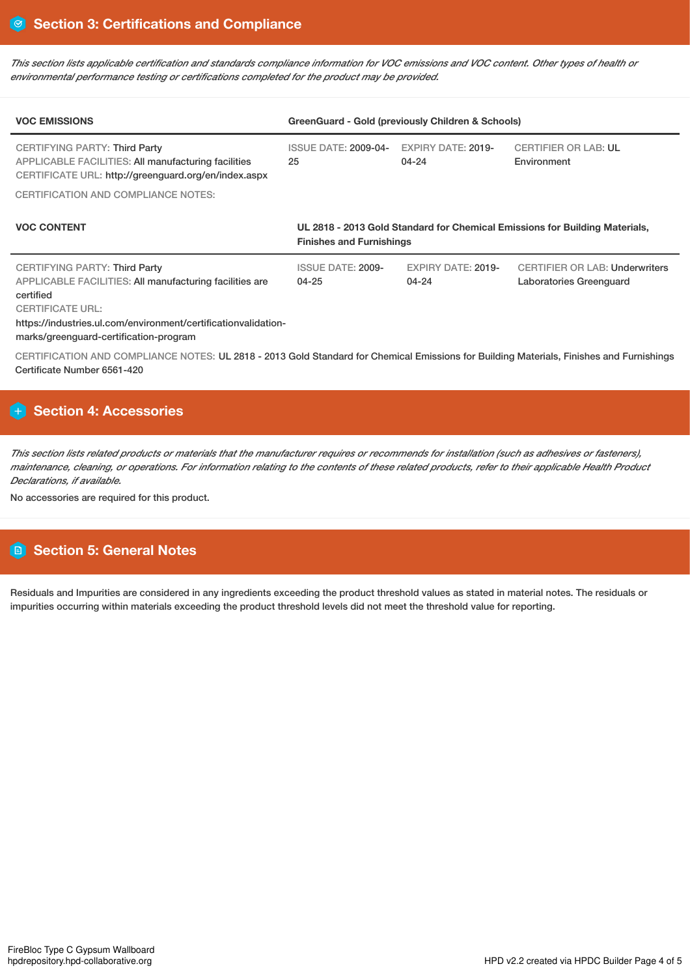This section lists applicable certification and standards compliance information for VOC emissions and VOC content. Other types of health or *environmental performance testing or certifications completed for the product may be provided.*

| <b>VOC EMISSIONS</b>                                                                                                                                                                                                                                | GreenGuard - Gold (previously Children & Schools)                                                              |                                        |                                                                  |  |
|-----------------------------------------------------------------------------------------------------------------------------------------------------------------------------------------------------------------------------------------------------|----------------------------------------------------------------------------------------------------------------|----------------------------------------|------------------------------------------------------------------|--|
| <b>CERTIFYING PARTY: Third Party</b><br><b>APPLICABLE FACILITIES: All manufacturing facilities</b><br>CERTIFICATE URL: http://greenguard.org/en/index.aspx                                                                                          | <b>ISSUE DATE: 2009-04-</b><br>25                                                                              | <b>EXPIRY DATE: 2019-</b><br>04-24     | <b>CERTIFIER OR LAB: UL</b><br>Environment                       |  |
| <b>CERTIFICATION AND COMPLIANCE NOTES:</b>                                                                                                                                                                                                          |                                                                                                                |                                        |                                                                  |  |
| <b>VOC CONTENT</b>                                                                                                                                                                                                                                  | UL 2818 - 2013 Gold Standard for Chemical Emissions for Building Materials,<br><b>Finishes and Furnishings</b> |                                        |                                                                  |  |
| <b>CERTIFYING PARTY: Third Party</b><br>APPLICABLE FACILITIES: All manufacturing facilities are<br>certified<br><b>CERTIFICATE URL:</b><br>https://industries.ul.com/environment/certificationvalidation-<br>marks/greenguard-certification-program | <b>ISSUE DATE: 2009-</b><br>$04 - 25$                                                                          | <b>EXPIRY DATE: 2019-</b><br>$04 - 24$ | <b>CERTIFIER OR LAB: Underwriters</b><br>Laboratories Greenguard |  |
| CERTIFICATION AND COMPLIANCE NOTES: UL 2818 - 2013 Gold Standard for Chemical Emissions for Building Materials, Finishes and Furnishings                                                                                                            |                                                                                                                |                                        |                                                                  |  |

# **Section 4: Accessories**

Certificate Number 6561-420

This section lists related products or materials that the manufacturer requires or recommends for installation (such as adhesives or fasteners), maintenance, cleaning, or operations. For information relating to the contents of these related products, refer to their applicable Health Product *Declarations, if available.*

No accessories are required for this product.

# **Section 5: General Notes**

Residuals and Impurities are considered in any ingredients exceeding the product threshold values as stated in material notes. The residuals or impurities occurring within materials exceeding the product threshold levels did not meet the threshold value for reporting.